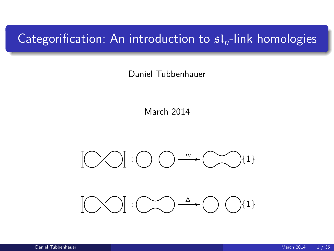# Categorification: An introduction to  $\mathfrak{sl}_n$ -link homologies

Daniel Tubbenhauer

March 2014



 $\begin{picture}(100,10) \put(0,0){\line(1,0){10}} \put(15,0){\line(1,0){10}} \put(15,0){\line(1,0){10}} \put(15,0){\line(1,0){10}} \put(15,0){\line(1,0){10}} \put(15,0){\line(1,0){10}} \put(15,0){\line(1,0){10}} \put(15,0){\line(1,0){10}} \put(15,0){\line(1,0){10}} \put(15,0){\line(1,0){10}} \put(15,0){\line(1,0){10}} \put(15,0){\line($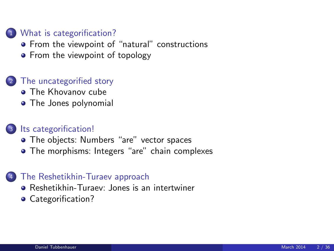#### 1 [What is categorification?](#page-2-0)

- **•** [From the viewpoint of "natural" constructions](#page-2-0)
- [From the viewpoint of topology](#page-6-0)

#### 2 [The uncategorified story](#page-9-0)

- **[The Khovanov cube](#page-9-0)**
- [The Jones polynomial](#page-12-0)

#### 3 [Its categorification!](#page-15-0)

- [The objects: Numbers "are" vector spaces](#page-15-0)
- [The morphisms: Integers "are" chain complexes](#page-22-0)

#### [The Reshetikhin-Turaev approach](#page-27-0)

- **[Reshetikhin-Turaev: Jones is an intertwiner](#page-27-0)**
- [Categorification?](#page-30-0)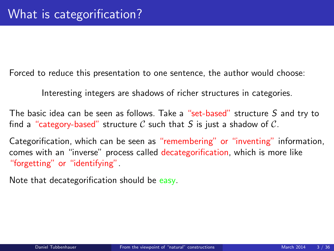Forced to reduce this presentation to one sentence, the author would choose:

Interesting integers are shadows of richer structures in categories.

The basic idea can be seen as follows. Take a "set-based" structure S and try to find a "category-based" structure C such that S is just a shadow of C.

Categorification, which can be seen as "remembering" or "inventing" information, comes with an "inverse" process called decategorification, which is more like "forgetting" or "identifying".

<span id="page-2-0"></span>Note that decategorification should be easy.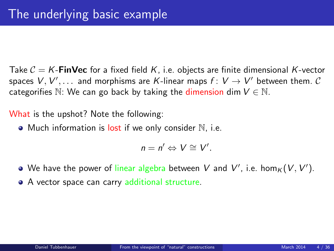Take  $C = K$ -**FinVec** for a fixed field K, i.e. objects are finite dimensional K-vector spaces  $V, V', \ldots$  and morphisms are  $K$ -linear maps  $f \colon V \to V'$  between them.  $\mathcal C$ categorifies N: We can go back by taking the dimension dim  $V \in N$ .

What is the upshot? Note the following:

 $\bullet$  Much information is lost if we only consider  $\mathbb N$ , i.e.

$$
n=n'\Leftrightarrow V\cong V'.
$$

- We have the power of linear algebra between V and V', i.e.  $\hom_K(V, V')$ .
- A vector space can carry additional structure.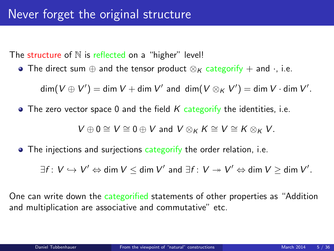The structure of  $N$  is reflected on a "higher" level!

• The direct sum  $\oplus$  and the tensor product  $\otimes_K$  categorify + and  $\cdot$ , i.e.

 $\dim(V\oplus V')=\dim V+\dim V'$  and  $\dim(V\otimes_K V')=\dim V\cdot \dim V'.$ 

 $\bullet$  The zero vector space 0 and the field K categorify the identities, i.e.

 $V \oplus 0 \cong V \cong 0 \oplus V$  and  $V \otimes_K K \cong V \cong K \otimes_K V$ .

• The injections and surjections categorify the order relation, i.e.

 $\exists f\colon V\hookrightarrow V'\Leftrightarrow \text{\sf dim}\ V\leq \text{\sf dim}\ V'$  and  $\exists f\colon V\twoheadrightarrow V'\Leftrightarrow \text{\sf dim}\ V\geq \text{\sf dim}\ V'.$ 

One can write down the categorified statements of other properties as "Addition and multiplication are associative and commutative" etc.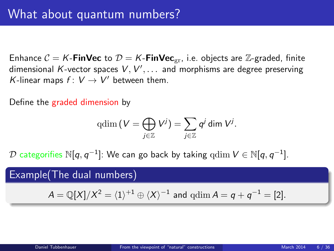Enhance  $C = K$ -FinVec to  $D = K$ -FinVec<sub>gr</sub>, i.e. objects are Z-graded, finite dimensional K-vector spaces  $V,V',\ldots$  and morphisms are degree preserving K-linear maps  $f: V \to V'$  between them.

Define the graded dimension by

$$
\mathrm{qdim}\left(V=\bigoplus_{j\in\mathbb{Z}}V^j\right)=\sum_{j\in\mathbb{Z}}q^j\,\mathrm{dim}\;V^j.
$$

 ${\cal D}$  categorifies  $\mathbb{N}[q,q^{-1}]$ : We can go back by taking  $\operatorname{qdim} V\in\mathbb{N}[q,q^{-1}]$ .

### Example(The dual numbers)

$$
A = \mathbb{Q}[X]/X^2 = \langle 1 \rangle^{+1} \oplus \langle X \rangle^{-1}
$$
 and  $qdim A = q + q^{-1} = [2]$ .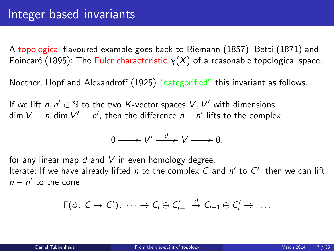A topological flavoured example goes back to Riemann (1857), Betti (1871) and Poincaré (1895): The Euler characteristic  $\chi(X)$  of a reasonable topological space.

Noether, Hopf and Alexandroff (1925) "categorified" this invariant as follows.

If we lift  $n, n' \in \mathbb{N}$  to the two K-vector spaces  $V, V'$  with dimensions dim  $V = n$ , dim  $V' = n'$ , then the difference  $n - n'$  lifts to the complex

<span id="page-6-0"></span>
$$
0 \longrightarrow V' \stackrel{d}{\longrightarrow} V \longrightarrow 0,
$$

for any linear map  $d$  and  $V$  in even homology degree.

Iterate: If we have already lifted  $n$  to the complex  $C$  and  $n'$  to  $C'$ , then we can lift  $n - n'$  to the cone

$$
\Gamma(\phi\colon\thinspace\mathcal{C}\to\mathcal{C}')\colon\cdots\to\mathcal{C}_i\oplus\mathcal{C}'_{i-1}\stackrel{\tilde{d}}\to\mathcal{C}_{i+1}\oplus\mathcal{C}'_i\to\ldots.
$$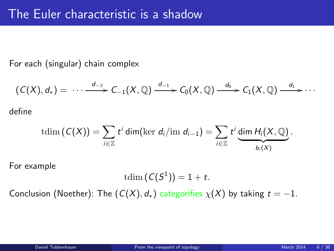For each (singular) chain complex

$$
(C(X), d_*) = \cdots \xrightarrow{d_{-2}} C_{-1}(X, \mathbb{Q}) \xrightarrow{d_{-1}} C_0(X, \mathbb{Q}) \xrightarrow{d_0} C_1(X, \mathbb{Q}) \xrightarrow{d_1} \cdots
$$
 define

$$
\mathrm{tdim}\,(C(X))=\sum_{i\in\mathbb{Z}}t^i\,\mathrm{dim}(\mathrm{ker}\ d_i/\mathrm{im}\ d_{i-1})=\sum_{i\in\mathbb{Z}}t^i\,\underset{b_i(X)}{\underbrace{\mathrm{dim}\ H_i(X,\mathbb{Q})}}.
$$

For example

$$
\mathrm{tdim}\left(\mathcal{C}(S^1)\right)=1+t.
$$

Conclusion (Noether): The  $(C(X), d_*)$  categorifies  $\chi(X)$  by taking  $t = -1$ .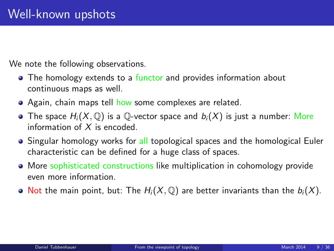We note the following observations.

- The homology extends to a functor and provides information about continuous maps as well.
- Again, chain maps tell how some complexes are related.
- The space  $H_i(X, \mathbb{O})$  is a  $\mathbb{O}$ -vector space and  $b_i(X)$  is just a number: More information of X is encoded.
- Singular homology works for all topological spaces and the homological Euler characteristic can be defined for a huge class of spaces.
- More sophisticated constructions like multiplication in cohomology provide even more information.
- $\bullet$  Not the main point, but: The  $H_i(X, \mathbb{Q})$  are better invariants than the  $b_i(X)$ .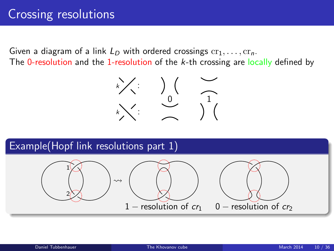# Crossing resolutions

Given a diagram of a link  $L_D$  with ordered crossings  $cr_1, \ldots, cr_n$ . The 0-resolution and the 1-resolution of the k-th crossing are locally defined by

<span id="page-9-0"></span>

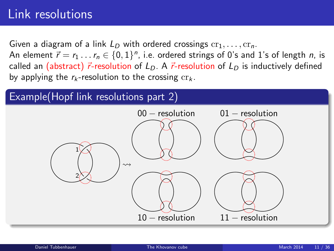# Link resolutions

Given a diagram of a link  $L_D$  with ordered crossings  $cr_1, \ldots, cr_n$ . An element  $\vec{r} = r_1 \ldots r_n \in \{0,1\}^n$ , i.e. ordered strings of 0's and 1's of length  $n$ , is called an (abstract)  $\vec{r}$ -resolution of  $L_D$ . A  $\vec{r}$ -resolution of  $L_D$  is inductively defined by applying the  $r_k$ -resolution to the crossing  $cr_k$ .

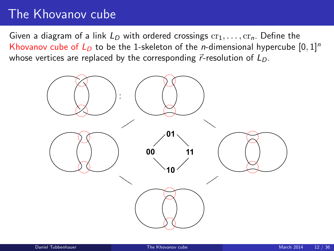# The Khovanov cube

Given a diagram of a link  $L_D$  with ordered crossings  $cr_1, \ldots, cr_n$ . Define the Khovanov cube of  $L<sub>D</sub>$  to be the 1-skeleton of the *n*-dimensional hypercube [0, 1]<sup>n</sup> whose vertices are replaced by the corresponding  $\vec{r}$ -resolution of  $L_D$ .

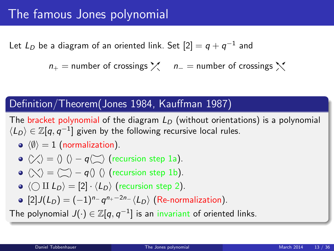Let  $L_D$  be a diagram of an oriented link. Set  $[2]=q+q^{-1}$  and

 $n_{+}$  = number of crossings  $\chi$  n<sub>−</sub> = number of crossings  $\chi$ 

### Definition/Theorem(Jones 1984, Kauffman 1987)

The bracket polynomial of the diagram  $L_D$  (without orientations) is a polynomial  $\langle L_D \rangle \in \mathbb{Z}[q,q^{-1}]$  given by the following recursive local rules.

 $\lozenge$   $\langle \emptyset \rangle = 1$  (normalization).

• 
$$
\langle \rangle \langle \rangle = \langle \rangle
$$
  $\langle \rangle - q \langle \rangle$  (recursion step 1a).

- $\bullet$   $\langle \searrow \rangle = \langle \searrow \rangle q \langle \rangle$  ( $\rangle$  (recursion step 1b).
- $\bullet$   $\langle \bigcirc \amalg L_D \rangle = [2] \cdot \langle L_D \rangle$  (recursion step 2).
- <span id="page-12-0"></span> $[2]J(L_D) = (-1)^{n_{-}} q^{n_{+}-2n_{-}} \langle L_D \rangle$  (Re-normalization).

The polynomial  $J(\cdot)\in \mathbb{Z}[q,q^{-1}]$  is an invariant of oriented links.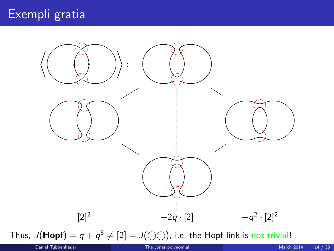

Thus,  $J(\text{Hopf}) = q + q^5 \neq [2] = J(\bigcirc \bigcirc)$ , i.e. the Hopf link is not trivial!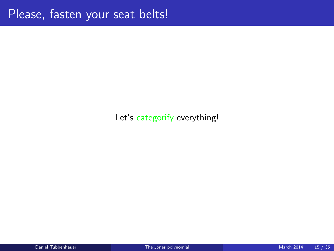### Let's categorify everything!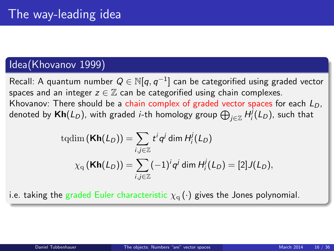#### Idea(Khovanov 1999)

Recall: A quantum number  $Q \in \mathbb{N}[q,q^{-1}]$  can be categorified using graded vector spaces and an integer  $z \in \mathbb{Z}$  can be categorified using chain complexes. Khovanov: There should be a chain complex of graded vector spaces for each  $L_D$ , denoted by  $\mathsf{Kh}(L_D)$ , with graded *i-*th homology group  $\bigoplus_{j\in\mathbb{Z}}H^{j}_{i}(L_D)$ , such that

<span id="page-15-0"></span>tqdim 
$$
(\mathbf{Kh}(L_D)) = \sum_{i,j \in \mathbb{Z}} t^i q^j \dim H_i^j(L_D)
$$
  

$$
\chi_q(\mathbf{Kh}(L_D)) = \sum_{i,j \in \mathbb{Z}} (-1)^i q^j \dim H_i^j(L_D) = [2]J(L_D),
$$

i.e. taking the graded Euler characteristic  $\chi_{\alpha}(\cdot)$  gives the Jones polynomial.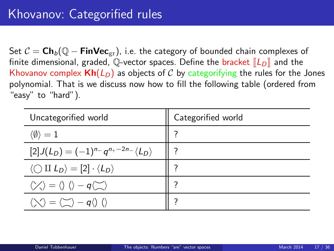Set  $C = \mathsf{Ch}_b(\mathbb{Q} - \mathsf{FinVec}_{\text{cr}})$ , i.e. the category of bounded chain complexes of finite dimensional, graded, Q-vector spaces. Define the bracket  $\llbracket L_D \rrbracket$  and the Khovanov complex  $\mathsf{Kh}(L_\mathsf{D})$  as objects of C by categorifying the rules for the Jones polynomial. That is we discuss now how to fill the following table (ordered from "easy" to "hard").

| Uncategorified world                                                                              | Categorified world |
|---------------------------------------------------------------------------------------------------|--------------------|
| $\langle \emptyset \rangle = 1$                                                                   |                    |
| $[2]J(L_D) = (-1)^{n}q^{n_+ - 2n_-}\langle L_D \rangle$                                           |                    |
| $\langle \bigcirc \amalg L_D \rangle = [2] \cdot \langle L_D \rangle$                             |                    |
| $\langle \rangle \langle \rangle = \langle \rangle$ $\langle \rangle - q \langle \rangle \rangle$ |                    |
| $\langle \bigvee \rangle = \langle \bigtriangleup \rangle - q \langle \rangle$                    |                    |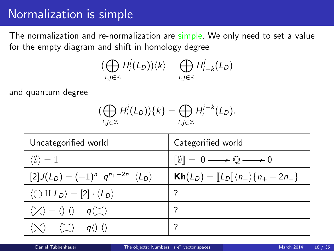# Normalization is simple

The normalization and re-normalization are simple. We only need to set a value for the empty diagram and shift in homology degree

$$
\big(\bigoplus_{i,j\in\mathbb{Z}}H^j_i(L_D)\big)\langle k\rangle=\bigoplus_{i,j\in\mathbb{Z}}H^j_{i-k}(L_D)
$$

and quantum degree

$$
\big(\bigoplus_{i,j\in\mathbb{Z}}H_i^j(L_D)\big)\{k\}=\bigoplus_{i,j\in\mathbb{Z}}H_i^{j-k}(L_D).
$$

| Uncategorified world                                                                              | Categorified world                                                                 |
|---------------------------------------------------------------------------------------------------|------------------------------------------------------------------------------------|
| $\langle \emptyset \rangle = 1$                                                                   | $\llbracket \emptyset \rrbracket = 0 \longrightarrow \mathbb{Q} \longrightarrow 0$ |
| $[2]J(L_D) = (-1)^{n} - q^{n+2n} \langle L_D \rangle$                                             | $\mathsf{Kh}(L_D) = [L_D] \langle n_{-} \rangle \{ n_{+} - 2n_{-} \}$              |
| $\langle \bigcirc \amalg L_D \rangle = [2] \cdot \langle L_D \rangle$                             |                                                                                    |
| $\langle \rangle \langle \rangle = \langle \rangle$ $\langle \rangle - q \langle \rangle \rangle$ |                                                                                    |
| $\langle \bigvee \rangle = \langle \bigtriangleup \rangle - q \langle \rangle$ ()                 |                                                                                    |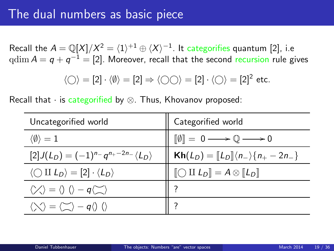## The dual numbers as basic piece

Recall the  $A = \mathbb{Q}[X]/X^2 = \langle 1 \rangle^{+1} \oplus \langle X \rangle^{-1}.$  It categorifies quantum [2], i.e  $\operatorname{qdim} A = \textsf{q} + \textsf{q}^{-1} = [2].$  Moreover, recall that the second recursion rule gives

$$
\langle \bigcirc \rangle = [2] \cdot \langle \emptyset \rangle = [2] \Rightarrow \langle \bigcirc \bigcirc \rangle = [2] \cdot \langle \bigcirc \rangle = [2]^2 \text{ etc.}
$$

Recall that  $\cdot$  is categorified by  $\otimes$ . Thus, Khovanov proposed:

| Uncategorified world                                                                              | Categorified world                                                                 |
|---------------------------------------------------------------------------------------------------|------------------------------------------------------------------------------------|
| $\langle \emptyset \rangle = 1$                                                                   | $\llbracket \emptyset \rrbracket = 0 \longrightarrow \mathbb{Q} \longrightarrow 0$ |
| $[2]J(L_D) = (-1)^{n}q^{n+2n} \langle L_D \rangle$                                                | $\mathsf{Kh}(L_D) = [\![L_D]\!](n_-)\{n_+ - 2n_-\}\$                               |
| $\langle \bigcirc \amalg L_D \rangle = [2] \cdot \langle L_D \rangle$                             | $\llbracket \bigcirc \amalg L_D \rrbracket = A \otimes \llbracket L_D \rrbracket$  |
| $\langle \rangle \langle \rangle = \langle \rangle$ $\langle \rangle - q \langle \rangle \rangle$ |                                                                                    |
| $\langle \bigvee \rangle = \langle \bigtriangleup \rangle - q \langle \rangle$                    |                                                                                    |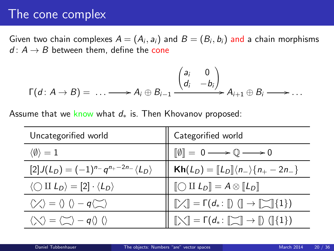## The cone complex

Given two chain complexes  $A=(A_i, a_i)$  and  $B=(B_i, b_i)$  and a chain morphisms  $d: A \rightarrow B$  between them, define the cone

$$
\Gamma(d: A \to B) = \ldots \longrightarrow A_i \oplus B_{i-1} \xrightarrow{\begin{pmatrix} a_i & 0 \\ d_i & -b_i \end{pmatrix}} A_{i+1} \oplus B_i \longrightarrow \ldots
$$

Assume that we know what  $d_*$  is. Then Khovanov proposed:

| Uncategorified world                                                                              | Categorified world                                                                                                                          |
|---------------------------------------------------------------------------------------------------|---------------------------------------------------------------------------------------------------------------------------------------------|
| $\langle \emptyset \rangle = 1$                                                                   | $\llbracket \emptyset \rrbracket = 0 \longrightarrow \mathbb{Q} \longrightarrow 0$                                                          |
| $[2]J(L_D) = (-1)^{n} - q^{n_+ - 2n_-} \langle L_D \rangle$                                       | $\mathsf{Kh}(L_D) = [L_D] \langle n_{-} \rangle \{n_{+} - 2n_{-}\}\$                                                                        |
| $\langle \bigcirc \amalg L_D \rangle = [2] \cdot \langle L_D \rangle$                             | $\llbracket \bigcirc \amalg L_D \rrbracket = A \otimes \llbracket L_D \rrbracket$                                                           |
| $\langle \rangle \langle \rangle = \langle \rangle$ $\langle \rangle - q \langle \rangle \rangle$ | $\left[\nearrow\right] = \Gamma(d_*\colon\llbracket)\ (\rrbracket \to \llbracket\searrow\rrbracket\{1\})$                                   |
| $\langle \setminus \rangle = \langle \subseteq \rangle - q \langle \rangle$ ()                    | $\llbracket \bigtriangledown \rrbracket = \Gamma(d_*\colon \llbracket \bigtriangledown \rrbracket \to \llbracket) \ (\llbracket \{1\} \} )$ |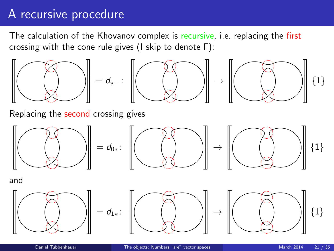# A recursive procedure

The calculation of the Khovanov complex is recursive, i.e. replacing the first crossing with the cone rule gives (I skip to denote Γ):



Replacing the second crossing gives



and

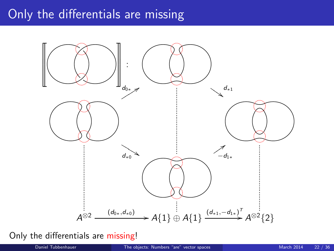# Only the differentials are missing



#### Only the differentials are missing!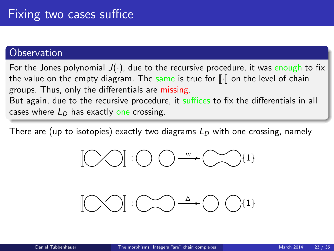### **Observation**

For the Jones polynomial  $J(\cdot)$ , due to the recursive procedure, it was enough to fix the value on the empty diagram. The same is true for  $\lVert \cdot \rVert$  on the level of chain groups. Thus, only the differentials are missing. But again, due to the recursive procedure, it suffices to fix the differentials in all

cases where  $L<sub>D</sub>$  has exactly one crossing.

There are (up to isotopies) exactly two diagrams  $L_D$  with one crossing, namely



<span id="page-22-0"></span>
$$
[\text{mod}:\text{mod}^{\Delta}\text{-}\text{mod}^{\{1\}}
$$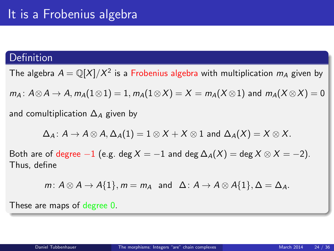### Definition

The algebra  $A = \mathbb{Q}[X]/X^2$  is a Frobenius algebra with multiplication  $m_A$  given by

 $m_A: A \otimes A \to A$ ,  $m_A(1 \otimes 1) = 1$ ,  $m_A(1 \otimes X) = X = m_A(X \otimes 1)$  and  $m_A(X \otimes X) = 0$ 

and comultiplication  $\Delta_A$  given by

 $\Delta_A$ :  $A \to A \otimes A$ ,  $\Delta_A(1) = 1 \otimes X + X \otimes 1$  and  $\Delta_A(X) = X \otimes X$ .

Both are of degree  $-1$  (e.g. deg  $X = -1$  and deg  $\Delta_A(X) = \deg X \otimes X = -2$ ). Thus, define

m:  $A \otimes A \rightarrow A\{1\}$ ,  $m = m_A$  and  $\Delta: A \rightarrow A \otimes A\{1\}$ ,  $\Delta = \Delta_A$ .

These are maps of degree 0.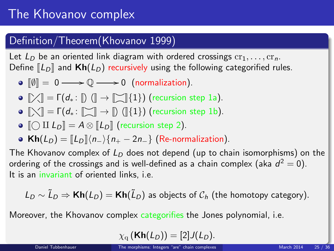# The Khovanov complex

### Definition/Theorem(Khovanov 1999)

Let  $L_D$  be an oriented link diagram with ordered crossings  $cr_1, \ldots, cr_n$ . Define  $\llbracket L_D \rrbracket$  and  $\mathbf{Kh}(L_D)$  recursively using the following categorified rules.

- $\bullet$   $\llbracket \emptyset \rrbracket = 0 \longrightarrow \mathbb{Q} \longrightarrow 0$  (normalization).
- $\bullet \cap \mathbb{R}$  =  $\Gamma(d_* : \mathbb{D} \cap \mathbb{R} \to \mathbb{D} \cap \{1\})$  (recursion step 1a).
- $\bullet \ \lbrack \hspace{-1.2mm}\lbrack \times \rbrack \rbrack = \lbrack \hspace{-1.2mm}\lbrack d_{\ast} : \lbrack \rbrack \rbrack \rbrack \rightarrow \lbrack \rbrack \ \ \lbrack \rbrack \{1\}\rbrack \ \ \text{(recursion step 1b)}$ .
- $\bigcirc$   $\bigcirc$  II  $L_D$  = A  $\otimes$   $\bigcirc$   $L_D$  (recursion step 2).
- Kh( $L_D$ ) =  $\llbracket L_D \rrbracket \langle n_- \rangle \{ n_+ 2n_+ \}$  (Re-normalization).

The Khovanov complex of  $L<sub>D</sub>$  does not depend (up to chain isomorphisms) on the ordering of the crossings and is well-defined as a chain complex (aka  $d^2=0$ ). It is an invariant of oriented links, i.e.

$$
L_D \sim \tilde{L}_D \Rightarrow \text{Kh}(L_D) = \text{Kh}(\tilde{L}_D)
$$
 as objects of  $C_h$  (the homotopy category).

Moreover, the Khovanov complex categorifies the Jones polynomial, i.e.

$$
\chi_{\rm q}(\mathbf{Kh}(L_D))=[2]J(L_D).
$$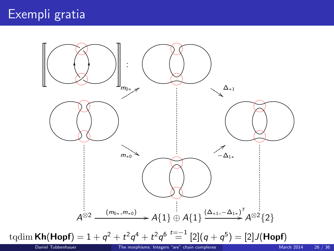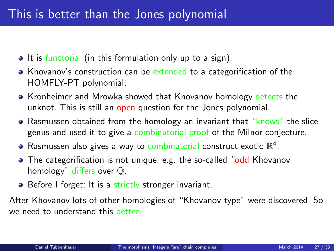- It is functorial (in this formulation only up to a sign).
- Khovanov's construction can be extended to a categorification of the HOMFLY-PT polynomial.
- Kronheimer and Mrowka showed that Khovanov homology detects the unknot. This is still an open question for the Jones polynomial.
- Rasmussen obtained from the homology an invariant that "knows" the slice genus and used it to give a combinatorial proof of the Milnor conjecture.
- Rasmussen also gives a way to combinatorial construct exotic  $\mathbb{R}^4$ .
- The categorification is not unique, e.g. the so-called "odd Khovanov homology" differs over Q.
- Before I forget: It is a strictly stronger invariant.

After Khovanov lots of other homologies of "Khovanov-type" were discovered. So we need to understand this better.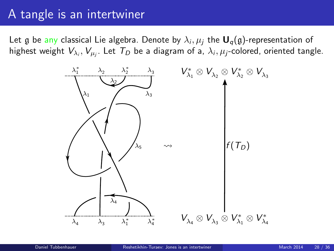# A tangle is an intertwiner

Let  $\frak g$  be any classical Lie algebra. Denote by  $\lambda_i,\mu_j$  the  $\boldsymbol{\mathsf U}_q(\frak g)$ -representation of highest weight  $V_{\lambda_i},V_{\mu_j}.$  Let  $\mathcal{T}_D$  be a diagram of a,  $\lambda_i,\mu_j$ -colored, oriented tangle.

<span id="page-27-0"></span>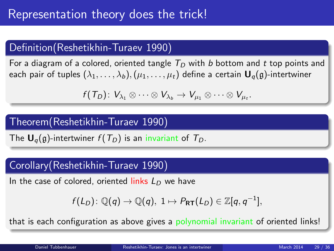## Definition(Reshetikhin-Turaev 1990)

For a diagram of a colored, oriented tangle  $T<sub>D</sub>$  with b bottom and t top points and each pair of tuples  $(\lambda_1,\ldots,\lambda_b),(\mu_1,\ldots,\mu_t)$  define a certain  $\mathbf{U}_q(\mathfrak{g})$ -intertwiner

$$
f(T_D): V_{\lambda_1} \otimes \cdots \otimes V_{\lambda_b} \to V_{\mu_1} \otimes \cdots \otimes V_{\mu_t}.
$$

### Theorem(Reshetikhin-Turaev 1990)

The  $U_q(g)$ -intertwiner  $f(T_D)$  is an invariant of  $T_D$ .

### Corollary(Reshetikhin-Turaev 1990)

In the case of colored, oriented links  $L_D$  we have

$$
f(L_D): \mathbb{Q}(q) \to \mathbb{Q}(q), \ 1 \mapsto P_{\mathsf{RT}}(L_D) \in \mathbb{Z}[q, q^{-1}],
$$

that is each configuration as above gives a polynomial invariant of oriented links!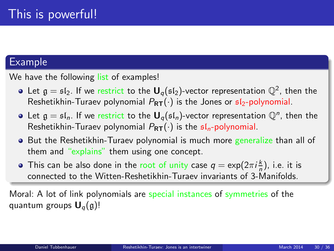### **Example**

We have the following list of examples!

- Let  $\mathfrak{g}=\mathfrak{sl}_2.$  If we restrict to the  $\mathsf{U}_q(\mathfrak{sl}_2)$ -vector representation  $\mathbb{Q}^2$ , then the Reshetikhin-Turaev polynomial  $P_{RT}(\cdot)$  is the Jones or  $s/2$ -polynomial.
- Let  $\mathfrak{g}=\mathfrak{sl}_n.$  If we restrict to the  $\mathbf{U}_q(\mathfrak{sl}_n)$ -vector representation  $\mathbb{Q}^n$ , then the Reshetikhin-Turaev polynomial  $P_{RT}(\cdot)$  is the  $sI_n$ -polynomial.
- But the Reshetikhin-Turaev polynomial is much more generalize than all of them and "explains" them using one concept.
- This can be also done in the root of unity case  $q = \exp(2\pi i \frac{k}{n})$ , i.e. it is connected to the Witten-Reshetikhin-Turaev invariants of 3-Manifolds.

Moral: A lot of link polynomials are special instances of symmetries of the quantum groups  $U_q(g)$ !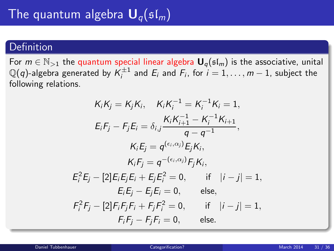### Definition

For  $m \in \mathbb{N}_{>1}$  the quantum special linear algebra  $\mathbf{U}_q(\mathfrak{sl}_m)$  is the associative, unital  $\mathbb{Q}(q)$ -algebra generated by  $\mathcal{K}_i^{\pm 1}$  and  $E_i$  and  $F_i$ , for  $i=1,\ldots,m-1$ , subject the following relations.

<span id="page-30-0"></span>
$$
K_{i}K_{j} = K_{j}K_{i}, \quad K_{i}K_{i}^{-1} = K_{i}^{-1}K_{i} = 1,
$$
\n
$$
E_{i}F_{j} - F_{j}E_{i} = \delta_{i,j} \frac{K_{i}K_{i+1}^{-1} - K_{i}^{-1}K_{i+1}}{q - q^{-1}},
$$
\n
$$
K_{i}E_{j} = q^{(\epsilon_{i},\alpha_{j})}E_{j}K_{i},
$$
\n
$$
K_{i}F_{j} = q^{-(\epsilon_{i},\alpha_{j})}F_{j}K_{i},
$$
\n
$$
E_{i}^{2}E_{j} - [2]E_{i}E_{j}E_{i} + E_{j}E_{i}^{2} = 0, \quad \text{if} \quad |i - j| = 1,
$$
\n
$$
E_{i}E_{j} - E_{j}E_{i} = 0, \quad \text{else},
$$
\n
$$
F_{i}^{2}F_{j} - [2]F_{i}F_{j}F_{i} + F_{j}F_{i}^{2} = 0, \quad \text{if} \quad |i - j| = 1,
$$
\n
$$
F_{i}F_{j} - F_{j}F_{i} = 0, \quad \text{else}.
$$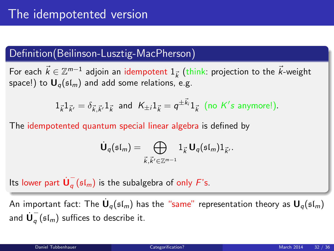### Definition(Beilinson-Lusztig-MacPherson)

For each  $\vec{k} \in \mathbb{Z}^{m-1}$  adjoin an idempotent  $1_{\vec{k}}$  (think: projection to the  $\vec{k}$ -weight space!) to  $U_q(\mathfrak{sl}_m)$  and add some relations, e.g.

$$
1_{\vec{k}}1_{\vec{k}'}=\delta_{\vec{k},\vec{k}'}1_{\vec{k}} \text{ and } K_{\pm i}1_{\vec{k}}=q^{\pm \vec{k}_i}1_{\vec{k}} \text{ (no } K's \text{ anymore!).}
$$

The idempotented quantum special linear algebra is defined by

$$
\dot{\mathbf{U}}_q(\mathfrak{sl}_m)=\bigoplus_{\vec{k},\vec{k}'\in\mathbb{Z}^{m-1}}1_{\vec{k}}\,\mathbf{U}_q(\mathfrak{sl}_m)1_{\vec{k}'}.
$$

Its lower part  $\dot{\mathsf{U}}_q^ _q$  ( $\mathfrak{sl}_m$ ) is the subalgebra of only  $F$ 's.

An important fact: The  $\dot{\mathsf{U}}_q(\mathfrak{sl}_m)$  has the "same" representation theory as  $\mathsf{U}_q(\mathfrak{sl}_m)$ and  $\dot{\mathsf{U}}^-_a$  $_{q}$  ( $\mathfrak{sl}_{m}$ ) suffices to describe it.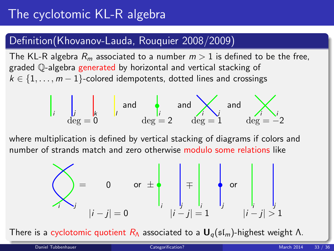# The cyclotomic KL-R algebra

### Definition(Khovanov-Lauda, Rouquier 2008/2009)

The KL-R algebra  $R_m$  associated to a number  $m > 1$  is defined to be the free, graded Q-algebra generated by horizontal and vertical stacking of  $k \in \{1, \ldots, m-1\}$ -colored idempotents, dotted lines and crossings

$$
\begin{vmatrix} 1 & 1 \\ 1 & 1 \\ 1 & 1 \end{vmatrix}
$$
 and 
$$
\begin{vmatrix} 1 & 1 \\ 1 & 1 \end{vmatrix}
$$
 and 
$$
\begin{vmatrix} 1 & 1 \\ 1 & 1 \end{vmatrix}
$$
 and 
$$
\begin{vmatrix} 1 & 1 \\ 1 & 1 \end{vmatrix}
$$
 and 
$$
\begin{vmatrix} 1 & 1 \\ 1 & 1 \end{vmatrix}
$$
 and 
$$
\begin{vmatrix} 1 & 1 \\ 1 & 1 \end{vmatrix}
$$
 and 
$$
\begin{vmatrix} 1 & 1 \\ 1 & 1 \end{vmatrix}
$$
 and 
$$
\begin{vmatrix} 1 & 1 \\ 1 & 1 \end{vmatrix}
$$
 and 
$$
\begin{vmatrix} 1 & 1 \\ 1 & 1 \end{vmatrix}
$$
 and 
$$
\begin{vmatrix} 1 & 1 \\ 1 & 1 \end{vmatrix}
$$

where multiplication is defined by vertical stacking of diagrams if colors and number of strands match and zero otherwise modulo some relations like

$$
\sum_{i} y = \begin{bmatrix} 0 & 0 & 0 \\ 0 & 0 & 0 \\ 0 & 0 & 0 \end{bmatrix} \begin{bmatrix} 0 & 0 & 0 \\ 0 & 0 & 0 \\ 0 & 0 & 0 \\ 0 & 0 & 0 \end{bmatrix} \begin{bmatrix} 0 & 0 & 0 \\ 0 & 0 & 0 \\ 0 & 0 & 0 \\ 0 & 0 & 0 \end{bmatrix} \begin{bmatrix} 0 & 0 & 0 \\ 0 & 0 & 0 \\ 0 & 0 & 0 \end{bmatrix}
$$

There is a cyclotomic quotient  $R_{\Lambda}$  associated to a  $\mathbf{U}_q(\mathfrak{sl}_m)$ -highest weight  $\Lambda$ .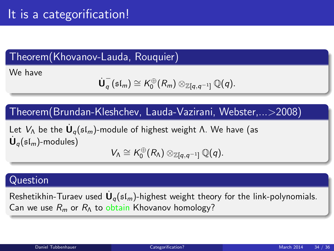## Theorem(Khovanov-Lauda, Rouquier)

We have

$$
\dot{\mathbf{U}}_q^-(\mathfrak{sl}_m) \cong K_0^{\oplus}(R_m) \otimes_{\mathbb{Z}[q,q^{-1}]} \mathbb{Q}(q).
$$

Theorem(Brundan-Kleshchev, Lauda-Vazirani, Webster,...>2008)

Let  $V_\Lambda$  be the  $\dot{\mathsf{U}}_q(\mathfrak{sl}_m)$ -module of highest weight Λ. We have (as  $\dot{\mathsf{U}}_q(\mathfrak{sl}_m)$ -modules) ⊕

$$
V_{\Lambda} \cong K_0^{\oplus}(R_{\Lambda}) \otimes_{\mathbb{Z}[q,q^{-1}]} \mathbb{Q}(q).
$$

### Question

Reshetikhin-Turaev used  $\dot{\mathbf{U}}_q(\mathfrak{sl}_m)$ -highest weight theory for the link-polynomials. Can we use  $R_m$  or  $R_\Lambda$  to obtain Khovanov homology?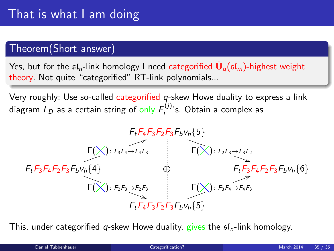### Theorem(Short answer)

Yes, but for the  $\mathfrak{sl}_n$ -link homology I need categorified  $\dot{\mathsf{U}}_q(\mathfrak{sl}_m)$ -highest weight theory. Not quite "categorified" RT-link polynomials...

Very roughly: Use so-called categorified q-skew Howe duality to express a link diagram  $L_D$  as a certain string of only  $\mathit{F}_i^{(j)}$  $i_j^{(U)}$ 's. Obtain a complex as



This, under categorified q-skew Howe duality, gives the  $sI_n$ -link homology.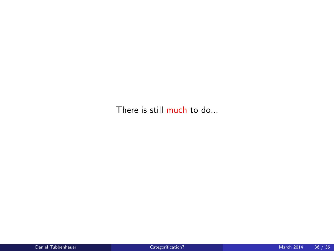There is still much to do...